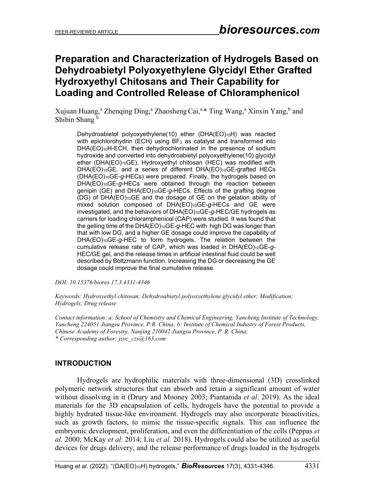# **Preparation and Characterization of Hydrogels Based on Dehydroabietyl Polyoxyethylene Glycidyl Ether Grafted Hydroxyethyl Chitosans and Their Capability for Loading and Controlled Release of [Chloramphenicol](https://fanyi.so.com/?src=onebox#%20chloramphenicol)**

Xujuan Huang,<sup>a</sup> Zhenqing Ding,<sup>a</sup> Zhaosheng Cai,<sup>a,\*</sup> Ting Wang,<sup>a</sup> Xinxin Yang,<sup>b</sup> and Shibin Shang<sup>b</sup>

Dehydroabietol polyoxyethylene(10) ether (DHA(EO)10H) was reacted with epichlorohydrin (ECH) using  $BF_3$  as catalyst and transformed into DHA(EO)<sub>10</sub>H-ECH, then dehydrochlorinated in the presence of sodium hydroxide and converted into dehydroabietyl polyoxyethylene(10) glycidyl ether (DHA(EO)<sub>10</sub>GE). Hydroxyethyl chitosan (HEC) was modified with DHA(EO)<sub>10</sub>GE, and a series of different DHA(EO)<sub>10</sub>GE-grafted HECs (DHA(EO)10GE-*g*-HECs) were prepared. Finally, the hydrogels based on DHA(EO)10GE-*g*-HECs were obtained through the reaction between genipin (GE) and DHA(EO)10GE-*g*-HECs. Effects of the grafting degree (DG) of DHA(EO)10GE and the dosage of GE on the gelation ability of mixed solution composed of DHA(EO)<sub>10</sub>GE-g-HECs and GE were investigated, and the behaviors of DHA(EO)10GE-*g*-HEC/GE hydrogels as carriers for loading chloramphenicol (CAP) were studied. It was found that the gelling time of the DHA(EO)10GE-*g*-HEC with high DG was longer than that with low DG, and a higher GE dosage could improve the capability of DHA(EO)10GE-*g*-HEC to form hydrogels. The relation between the cumulative release rate of CAP, which was loaded in DHA(EO)10GE-*g*-HEC/GE gel, and the release times in artificial intestinal fluid could be well described by Boltzmann function. Increasing the DG or decreasing the GE dosage could improve the final cumulative release.

*DOI: 10.15376/biores.17.3.4331-4346*

*Keywords: Hydroxyethyl chitosan; Dehydroabietyl polyoxyethylene glycidyl ether; Modification; Hydrogels; Drug release*

*Contact information: a: School of Chemistry and Chemical Engineering, Yancheng Institute of Technology, Yancheng 224051 Jiangsu Province, P.R. China; b: Institute of Chemical Industry of Forest Products, Chinese Academy of Forestry, Nanjing 210042 Jiangsu Province, P. R. China; \* Corresponding author: [jsyc\\_czs@163.com](mailto:jsyc_czs@163.com)*

### **INTRODUCTION**

Hydrogels are hydrophilic materials with three-dimensional (3D) crosslinked polymeric network structures that can absorb and retain a significant amount of water without dissolving in it (Drury and Mooney 2003; Piantanida *et al*. 2019). As the ideal materials for the 3D encapsulation of cells, hydrogels have the potential to provide a highly hydrated tissue-like environment. Hydrogels may also incorporate bioactivities, such as growth factors, to mimic the tissue-specific signals. This can influence the embryonic development, proliferation, and even the differentiation of the cells (Peppas *et al.* 2000; McKay *et al.* 2014; Liu *et al.* 2018). Hydrogels could also be utilized as useful devices for drugs delivery, and the release performance of drugs loaded in the hydrogels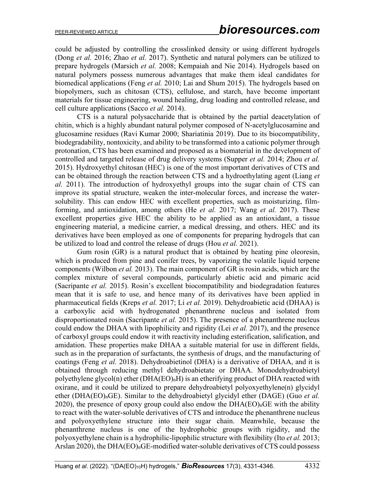could be adjusted by controlling the crosslinked density or using different hydrogels (Dong *et al.* 2016; Zhao *et al.* 2017). Synthetic and natural polymers can be utilized to prepare hydrogels (Marsich *et al.* 2008; Kempaiah and Nie 2014). Hydrogels based on natural polymers possess numerous advantages that make them ideal candidates for biomedical applications (Feng *et al.* 2010; Lai and Shum 2015). The hydrogels based on biopolymers, such as chitosan (CTS), cellulose, and starch, have become important materials for tissue engineering, wound healing, drug loading and controlled release, and cell culture applications (Sacco *et al.* 2014).

CTS is a natural polysaccharide that is obtained by the partial deacetylation of chitin, which is a highly abundant natural polymer composed of N-acetylglucosamine and glucosamine residues (Ravi Kumar 2000; Shariatinia 2019). Due to its biocompatibility, biodegradability, nontoxicity, and ability to be transformed into a cationic polymer through protonation, CTS has been examined and proposed as a biomaterial in the development of controlled and targeted release of drug delivery systems (Supper *et al.* 2014; Zhou *et al.* 2015). Hydroxyethyl chitosan (HEC) is one of the most important derivatives of CTS and can be obtained through the reaction between CTS and a hydroethylating agent (Liang *et al.* 2011). The introduction of hydroxyethyl groups into the sugar chain of CTS can improve its spatial structure, weaken the inter-molecular forces, and increase the watersolubility. This can endow HEC with excellent properties, such as moisturizing, filmforming, and antioxidation, among others (He *et al.* 2017; Wang *et al.* 2017). These excellent properties give HEC the ability to be applied as an antioxidant, a tissue engineering material, a medicine carrier, a medical dressing, and others. HEC and its derivatives have been employed as one of components for preparing hydrogels that can be utilized to load and control the release of drugs (Hou *et al.* 2021).

Gum rosin (GR) is a natural product that is obtained by heating pine oleoresin, which is produced from pine and conifer trees, by vaporizing the volatile liquid terpene components (Wilbon *et al.* 2013). The main component of GR is rosin acids, which are the complex mixture of several compounds, particularly abietic acid and pimaric acid (Sacripante *et al.* 2015). Rosin's excellent biocompatibility and biodegradation features mean that it is safe to use, and hence many of its derivatives have been applied in pharmaceutical fields (Kreps *et al.* 2017; Li *et al.* 2019). Dehydroabietic acid (DHAA) is a [carboxylic acid](https://fanyi.so.com/?src=onebox#carboxylic%20acid) with hydrogenated phenanthrene nucleus and isolated from disproportionated rosin (Sacripante *et al.* 2015). The presence of a phenanthrene nucleus could endow the DHAA with lipophilicity and rigidity (Lei *et al.* 2017), and the presence of carboxyl groups could endow it with reactivity including esterification, salification, and amidation. These properties make DHAA a suitable material for use in different fields, such as in the preparation of surfactants, the synthesis of drugs, and the manufacturing of coatings (Feng *et al.* 2018). Dehydroabietinol (DHA) is a derivative of DHAA, and it is obtained through reducing methyl dehydroabietate or DHAA. Monodehydroabietyl polyethylene glycol(n) ether  $(DHA(EO)<sub>n</sub>H)$  is an etherifying product of DHA reacted with oxirane, and it could be utilized to prepare dehydroabietyl polyoxyethylene(n) glycidyl ether (DHA(EO)nGE). Similar to the dehydroabietyl glycidyl ether (DAGE) (Guo *et al.* 2020), the presence of epoxy group could also endow the DHA(EO)<sub>n</sub>GE with the ability to react with the water-soluble derivatives of CTS and introduce the phenanthrene nucleus and polyoxyethylene structure into their sugar chain. Meanwhile, because the phenanthrene nucleus is one of the hydrophobic groups with [rigidity,](https://fanyi.so.com/?src=onebox#rigidity) and the polyoxyethylene chain is a hydrophilic-lipophilic structure with flexibility (Ito *et al.* 2013; Arslan 2020), the DHA(EO)<sub>n</sub>GE-modified water-soluble derivatives of CTS could possess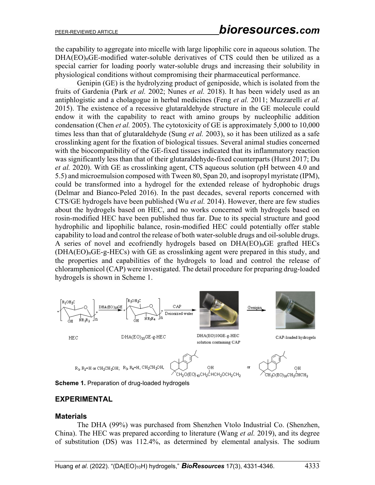the capability to aggregate into micelle with large lipophilic core in aqueous solution. The DHA(EO)<sub>n</sub>GE-modified water-soluble derivatives of CTS could then be utilized as a special carrier for loading poorly water-soluble drugs and increasing their solubility in physiological conditions without compromising their pharmaceutical performance.

Genipin (GE) is the hydrolyzing product of geniposide, which is isolated from the fruits of Gardenia (Park *et al.* 2002; Nunes *et al.* 2018). It has been widely used as an antiphlogistic and a cholagogue in herbal medicines (Feng *et al.* 2011; Muzzarelli *et al.* 2015). The existence of a recessive glutaraldehyde structure in the GE molecule could endow it with the capability to react with amino groups by nucleophilic addition condensation (Chen *et al.* 2005). The cytotoxicity of GE is approximately 5,000 to 10,000 times less than that of glutaraldehyde (Sung *et al.* 2003), so it has been utilized as a safe crosslinking agent for the fixation of biological tissues. Several animal studies concerned with the biocompatibility of the GE-fixed tissues indicated that its inflammatory reaction was significantly less than that of their glutaraldehyde-fixed counterparts (Hurst 2017; Du *et al.* 2020). With GE as crosslinking agent, CTS aqueous solution (pH between 4.0 and 5.5) and microemulsion composed with Tween 80, Span 20, and isopropyl myristate (IPM), could be transformed into a hydrogel for the extended release of hydrophobic drugs (Delmar and Bianco-Peled 2016). In the past decades, several reports concerned with CTS/GE hydrogels have been published (Wu *et al.* 2014). However, there are few studies about the hydrogels based on HEC, and no works concerned with hydrogels based on rosin-modified HEC have been published thus far. Due to its special structure and good hydrophilic and lipophilic balance, rosin-modified HEC could potentially offer stable capability to load and control the release of both water-soluble drugs and oil-soluble drugs. A series of novel and ecofriendly hydrogels based on DHA(EO)nGE grafted HECs (DHA(EO)nGE-g-HECs) with GE as crosslinking agent were prepared in this study, and the properties and capabilities of the hydrogels to load and control the release of [chloramphenicol](https://fanyi.so.com/?src=onebox#%20chloramphenicol) (CAP) were investigated. The detail procedure for preparing drug-loaded hydrogels is shown in Scheme 1.



**Scheme 1.** Preparation of drug-loaded hydrogels

### **EXPERIMENTAL**

#### **Materials**

The DHA (99%) was purchased from Shenzhen Vtolo Industrial Co. (Shenzhen, China). The HEC was prepared according to literature (Wang *et al.* 2019), and its degree of substitution (DS) was 112.4%, as determined by elemental analysis. The sodium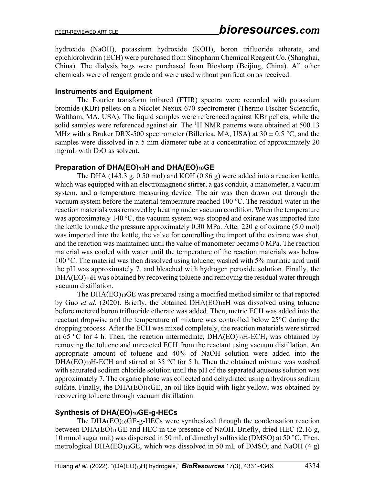hydroxide (NaOH), potassium hydroxide (KOH), boron trifluoride etherate, and epichlorohydrin (ECH) were purchased from Sinopharm Chemical Reagent Co. (Shanghai, China). The dialysis bags were purchased from Biosharp (Beijing, China). All other chemicals were of reagent grade and were used without purification as received.

### **Instruments and Equipment**

The Fourier transform infrared (FTIR) spectra were recorded with potassium bromide (KBr) pellets on a Nicolet Nexux 670 spectrometer (Thermo Fischer Scientific, Waltham, MA, USA). The liquid samples were referenced against KBr pellets, while the solid samples were referenced against air. The <sup>1</sup>H NMR patterns were obtained at 500.13 MHz with a Bruker DRX-500 spectrometer (Billerica, MA, USA) at  $30 \pm 0.5$  °C, and the samples were dissolved in a 5 mm diameter tube at a concentration of approximately 20 mg/mL with  $D_2O$  as solvent.

### **Preparation of DHA(EO)10H and DHA(EO)10GE**

The DHA (143.3 g, 0.50 mol) and KOH (0.86 g) were added into a reaction kettle, which was equipped with an electromagnetic stirrer, a gas conduit, a manometer, a vacuum system, and a temperature measuring device. The air was then drawn out through the vacuum system before the material temperature reached 100 ℃. The residual water in the reaction materials was removed by heating under vacuum condition. When the temperature was approximately 140 °C, the vacuum system was stopped and oxirane was imported into the kettle to make the pressure approximately 0.30 MPa. After 220 g of oxirane (5.0 mol) was imported into the kettle, the valve for controlling the import of the oxirane was shut, and the reaction was maintained until the value of manometer became 0 MPa. The reaction material was cooled with water until the temperature of the reaction materials was below 100 ℃. The material was then dissolved using toluene, washed with 5% muriatic acid until the pH was approximately 7, and bleached with hydrogen peroxide solution. Finally, the  $DHA(EO)_{10}$ H was obtained by recovering toluene and removing the residual water through vacuum distillation.

The DHA(EO)10GE was prepared using a modified method similar to that reported by Guo *et al.* (2020). Briefly, the obtained DHA(EO)10H was dissolved using toluene before metered boron trifluoride etherate was added. Then, metric ECH was added into the reactant dropwise and the temperature of mixture was controlled below 25°C during the dropping process. After the ECH was mixed completely, the reaction materials were stirred at 65 °C for 4 h. Then, the reaction intermediate,  $DHA(EO)_{10}H-ECH$ , was obtained by removing the toluene and unreacted ECH from the reactant using vacuum distillation. An appropriate amount of toluene and 40% of NaOH solution were added into the DHA(EO)<sub>10</sub>H-ECH and stirred at 35 °C for 5 h. Then the obtained mixture was washed with saturated sodium chloride solution until the pH of the separated aqueous solution was approximately 7. The organic phase was collected and dehydrated using anhydrous sodium sulfate. Finally, the DHA(EO)10GE, an oil-like liquid with light yellow, was obtained by recovering toluene through vacuum distillation.

### **Synthesis of DHA(EO)10GE-g-HECs**

The DHA(EO)10GE-g-HECs were synthesized through the condensation reaction between DHA(EO)10GE and HEC in the presence of NaOH. Briefly, dried HEC (2.16 g, 10 mmol sugar unit) was dispersed in 50 mL of dimethyl sulfoxide (DMSO) at 50 °C. Then, metrological DHA(EO)10GE, which was dissolved in 50 mL of DMSO, and NaOH (4 g)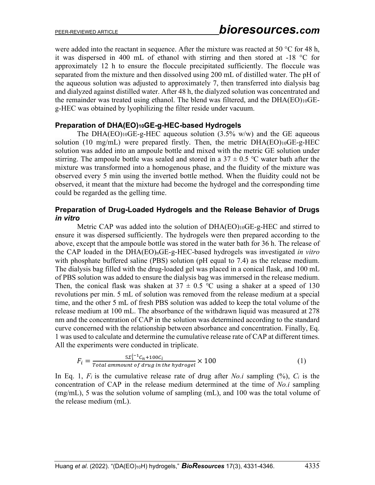were added into the reactant in sequence. After the mixture was reacted at 50 °C for 48 h, it was dispersed in 400 mL of ethanol with stirring and then stored at -18 °C for approximately 12 h to ensure the floccule precipitated sufficiently. The floccule was separated from the mixture and then dissolved using 200 mL of distilled water. The pH of the aqueous solution was adjusted to approximately 7, then transferred into dialysis bag and dialyzed against distilled water. After 48 h, the dialyzed solution was concentrated and the remainder was treated using ethanol. The blend was filtered, and the DHA(EO)10GEg-HEC was obtained by lyophilizing the filter reside under vacuum.

#### **Preparation of DHA(EO)10GE-g-HEC-based Hydrogels**

The DHA(EO)10GE-g-HEC aqueous solution  $(3.5\% \text{ w/w})$  and the GE aqueous solution (10 mg/mL) were prepared firstly. Then, the metric  $DHA(EO)_{10}GE-g-HEC$ solution was added into an ampoule bottle and mixed with the metric GE solution under stirring. The ampoule bottle was sealed and stored in a 37  $\pm$  0.5 °C water bath after the mixture was transformed into a homogenous phase, and the fluidity of the mixture was observed every 5 min using the inverted bottle method. When the fluidity could not be observed, it meant that the mixture had become the hydrogel and the corresponding time could be regarded as the gelling time.

#### **Preparation of Drug-Loaded Hydrogels and the Release Behavior of Drugs**  *in vitro*

Metric CAP was added into the solution of DHA(EO)10GE-g-HEC and stirred to ensure it was dispersed sufficiently. The hydrogels were then prepared according to the above, except that the ampoule bottle was stored in the water bath for 36 h. The release of the CAP loaded in the DHA(EO)nGE-g-HEC-based hydrogels was investigated *in vitro* with phosphate buffered saline (PBS) solution (pH equal to 7.4) as the release medium. The dialysis bag filled with the drug-loaded gel was placed in a conical flask, and 100 mL of PBS solution was added to ensure the dialysis bag was immersed in the release medium. Then, the conical flask was shaken at  $37 \pm 0.5$  °C using a shaker at a speed of 130 revolutions per min. 5 mL of solution was removed from the release medium at a special time, and the other 5 mL of fresh PBS solution was added to keep the total volume of the release medium at 100 mL. The absorbance of the withdrawn liquid was measured at 278 nm and the concentration of CAP in the solution was determined according to the standard curve concerned with the relationship between absorbance and concentration. Finally, Eq. 1 was used to calculate and determine the cumulative release rate of CAP at different times. All the experiments were conducted in triplicate.

$$
F_i = \frac{5\Sigma_1^{i-1}C_n + 100C_i}{Total\,amount\,of\,drug\,in\,the\,hydrogel} \times 100
$$
 (1)

In Eq. 1, *Fi* is the cumulative release rate of drug after *No.i* sampling (%), *Ci* is the concentration of CAP in the release medium determined at the time of *No.i* sampling (mg/mL), 5 was the solution volume of sampling (mL), and 100 was the total volume of the release medium (mL).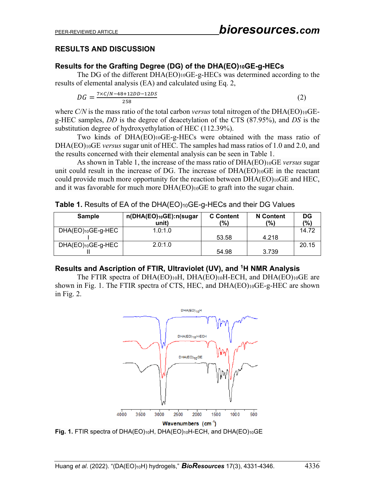### **RESULTS AND DISCUSSION**

### **Results for the Grafting Degree (DG) of the DHA(EO)10GE-g-HECs**

The DG of the different DHA(EO)10GE-g-HECs was determined according to the results of elemental analysis (EA) and calculated using Eq. 2,

$$
DG = \frac{7 \times C/N - 48 + 12DD - 12DS}{258} \tag{2}
$$

where  $C/N$  is the mass ratio of the total carbon *versus* total nitrogen of the DHA(EO)<sub>10</sub>GEg-HEC samples, *DD* is the degree of deacetylation of the CTS (87.95%), and *DS* is the substitution degree of hydroxyethylation of HEC (112.39%).

Two kinds of DHA(EO)10GE-g-HECs were obtained with the mass ratio of DHA(EO)10GE *versus* sugar unit of HEC. The samples had mass ratios of 1.0 and 2.0, and the results concerned with their elemental analysis can be seen in Table 1.

As shown in Table 1, the increase of the mass ratio of DHA(EO)10GE *versus* sugar unit could result in the increase of DG. The increase of DHA(EO)10GE in the reactant could provide much more opportunity for the reaction between  $DHA(EO)_{10}GE$  and  $HEC$ , and it was favorable for much more DHA(EO)10GE to graft into the sugar chain.

**Table 1.** Results of EA of the DHA(EO)10GE-g-HECs and their DG Values

| <b>Sample</b>     | n(DHA(EO)10GE):n(sugar<br>unit) | <b>C</b> Content<br>'%) | <b>N</b> Content<br>$(\%)$ | DG<br>(%) |
|-------------------|---------------------------------|-------------------------|----------------------------|-----------|
| DHA(EO)10GE-g-HEC | 1.0:1.0                         |                         |                            | 14.72     |
|                   |                                 | 53.58                   | 4.218                      |           |
| DHA(EO)10GE-g-HEC | 2.0:1.0                         |                         |                            | 20.15     |
|                   |                                 | 54.98                   | 3.739                      |           |

### **Results and Ascription of FTIR, Ultraviolet (UV), and 1H NMR Analysis**

The FTIR spectra of DHA(EO)10H, DHA(EO)10H-ECH, and DHA(EO)10GE are shown in Fig. 1. The FTIR spectra of CTS, HEC, and DHA(EO)10GE-g-HEC are shown in Fig. 2.



**Fig. 1.** FTIR spectra of DHA(EO)10H, DHA(EO)10H-ECH, and DHA(EO)10GE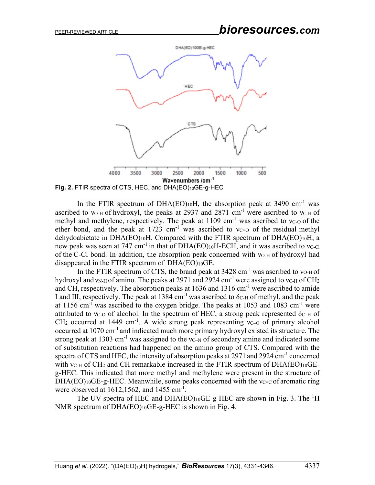

In the FTIR spectrum of DHA(EO)<sub>10</sub>H, the absorption peak at 3490 cm<sup>-1</sup> was ascribed to  $v$ <sup>O</sup>-H of hydroxyl, the peaks at 2937 and 2871 cm<sup>-1</sup> were ascribed to  $v$ <sup>C</sup>-H of methyl and methylene, respectively. The peak at  $1109 \text{ cm}^{-1}$  was ascribed to vc-o of the ether bond, and the peak at 1723 cm<sup>-1</sup> was ascribed to  $v_{C=0}$  of the residual methyl dehydoabietate in DHA(EO)<sub>10</sub>H. Compared with the FTIR spectrum of DHA(EO)<sub>10</sub>H, a new peak was seen at 747 cm<sup>-1</sup> in that of DHA(EO)<sub>10</sub>H-ECH, and it was ascribed to  $v_{C-C}$ of the C-Cl bond. In addition, the absorption peak concerned with  $v$ о-н of hydroxyl had disappeared in the FTIR spectrum of DHA(EO)10GE.

In the FTIR spectrum of CTS, the brand peak at  $3428 \text{ cm}^{-1}$  was ascribed to  $v_{O+H}$  of hydroxyl and  $v_{N-H}$  of amino. The peaks at 2971 and 2924 cm<sup>-1</sup> were assigned to  $v_{C-H}$  of CH<sub>2</sub> and CH, respectively. The absorption peaks at 1636 and 1316 cm-1 were ascribed to amide I and III, respectively. The peak at 1384 cm<sup>-1</sup> was ascribed to  $\delta_{\text{C-H}}$  of methyl, and the peak at 1156 cm<sup>-1</sup> was ascribed to the oxygen bridge. The peaks at 1053 and 1083 cm<sup>-1</sup> were attributed to  $v_{C-0}$  of alcohol. In the spectrum of HEC, a strong peak represented  $\delta_{C-H}$  of  $CH<sub>2</sub>$  occurred at 1449 cm<sup>-1</sup>. A wide strong peak representing  $v_{C-0}$  of primary alcohol occurred at 1070 cm-1 and indicated much more primary hydroxyl existed its structure. The strong peak at 1303 cm<sup>-1</sup> was assigned to the  $v_{C-N}$  of secondary amine and indicated some of substitution reactions had happened on the amino group of CTS. Compared with the spectra of CTS and HEC, the intensity of absorption peaks at 2971 and 2924 cm<sup>-1</sup> concerned with  $v_{\text{C-H}}$  of CH<sub>2</sub> and CH remarkable increased in the FTIR spectrum of DHA(EO)<sub>10</sub>GEg-HEC. This indicated that more methyl and methylene were present in the structure of DHA(EO) $10GE-g$ -HEC. Meanwhile, some peaks concerned with the  $v_{C-C}$  of aromatic ring were observed at  $1612,1562$ , and  $1455$  cm<sup>-1</sup>.

The UV spectra of HEC and DHA(EO) $10$ GE-g-HEC are shown in Fig. 3. The  ${}^{1}$ H NMR spectrum of  $DHA(EO)_{10}GE-g-HEC$  is shown in Fig. 4.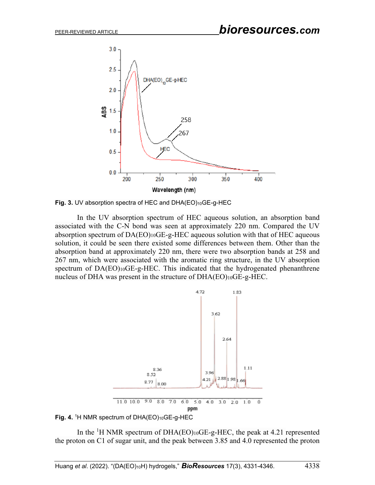

Fig. 3. UV absorption spectra of HEC and DHA(EO)<sub>10</sub>GE-g-HEC

In the UV absorption spectrum of HEC aqueous solution, an absorption band associated with the C-N bond was seen at approximately 220 nm. Compared the UV absorption spectrum of DA(EO)10GE-g-HEC aqueous solution with that of HEC aqueous solution, it could be seen there existed some differences between them. Other than the absorption band at approximately 220 nm, there were two absorption bands at 258 and 267 nm, which were associated with the aromatic ring structure, in the UV absorption spectrum of DA(EO)10GE-g-HEC. This indicated that the hydrogenated phenanthrene nucleus of DHA was present in the structure of DHA(EO)10GE-g-HEC.





In the <sup>1</sup>H NMR spectrum of DHA(EO)10GE-g-HEC, the peak at 4.21 represented the proton on C1 of sugar unit, and the peak between 3.85 and 4.0 represented the proton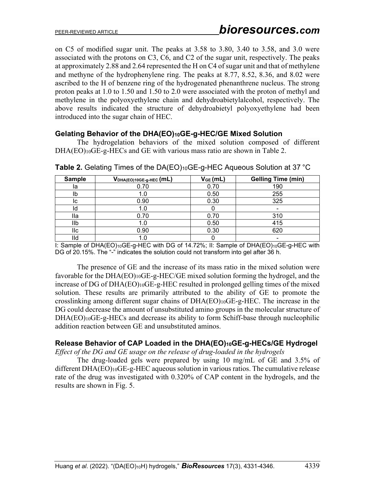on C5 of modified sugar unit. The peaks at 3.58 to 3.80, 3.40 to 3.58, and 3.0 were associated with the protons on C3, C6, and C2 of the sugar unit, respectively. The peaks at approximately 2.88 and 2.64 represented the H on C4 of sugar unit and that of methylene and methyne of the hydrophenylene ring. The peaks at 8.77, 8.52, 8.36, and 8.02 were ascribed to the H of benzene ring of the hydrogenated phenanthrene nucleus. The strong proton peaks at 1.0 to 1.50 and 1.50 to 2.0 were associated with the proton of methyl and methylene in the polyoxyethylene chain and dehydroabietylalcohol, respectively. The above results indicated the structure of dehydroabietyl polyoxyethylene had been introduced into the sugar chain of HEC.

### **Gelating Behavior of the DHA(EO)10GE-g-HEC/GE Mixed Solution**

The hydrogelation behaviors of the mixed solution composed of different DHA(EO)<sub>10</sub>GE-g-HECs and GE with various mass ratio are shown in Table 2.

| <b>Sample</b> | $V_{DHA(EO)10GE-g-HEC}(mL)$ | $V_{GE}$ (mL) | <b>Gelling Time (min)</b> |
|---------------|-----------------------------|---------------|---------------------------|
| la            | 0.70                        | 0.70          | 190                       |
| lb            |                             | 0.50          | 255                       |
| IC            | 0.90                        | 0.30          | 325                       |
| ld            |                             |               |                           |
| lla           | 0.70                        | 0.70          | 310                       |
| llb           |                             | 0.50          | 415                       |
| llc           | 0.90                        | 0.30          | 620                       |
| Ild           |                             |               |                           |

**Table 2.** Gelating Times of the DA(EO)10GE-g-HEC Aqueous Solution at 37 °C

I: Sample of DHA(EO)<sub>10</sub>GE-g-HEC with DG of 14.72%; II: Sample of DHA(EO)<sub>10</sub>GE-g-HEC with DG of 20.15%. The "-" indicates the solution could not transform into gel after 36 h.

The presence of GE and the increase of its mass ratio in the mixed solution were favorable for the DHA(EO)10GE-g-HEC/GE mixed solution forming the hydrogel, and the increase of DG of DHA(EO)10GE-g-HEC resulted in prolonged gelling times of the mixed solution. These results are primarily attributed to the ability of GE to promote the crosslinking among different sugar chains of  $DHA(EO)_{10}GE-g-HEC$ . The increase in the DG could decrease the amount of unsubstituted amino groups in the molecular structure of DHA(EO)10GE-g-HECs and decrease its ability to form Schiff-base through nucleophilic addition reaction between GE and unsubstituted aminos.

### **Release Behavior of CAP Loaded in the DHA(EO)10GE-g-HECs/GE Hydrogel**

*Effect of the DG and GE usage on the release of drug-loaded in the hydrogels* 

The drug-loaded gels were prepared by using 10 mg/mL of GE and 3.5% of different DHA(EO)10GE-g-HEC aqueous solution in various ratios. The cumulative release rate of the drug was investigated with 0.320% of CAP content in the hydrogels, and the results are shown in Fig. 5.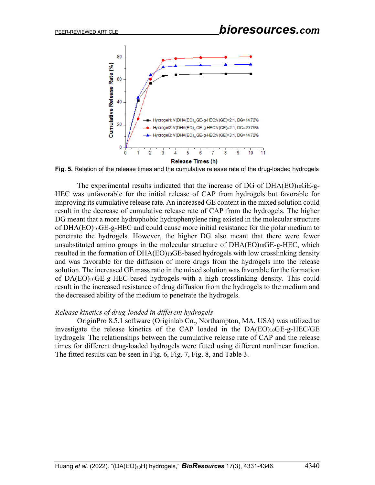

**Fig. 5.** Relation of the release times and the cumulative release rate of the drug-loaded hydrogels

The experimental results indicated that the increase of DG of  $DHA(EO)_{10}GE$ -g-HEC was unfavorable for the initial release of CAP from hydrogels but favorable for improving its cumulative release rate. An increased GE content in the mixed solution could result in the decrease of cumulative release rate of CAP from the hydrogels. The higher DG meant that a more hydrophobic hydrophenylene ring existed in the molecular structure of DHA(EO)10GE-g-HEC and could cause more initial resistance for the polar medium to penetrate the hydrogels. However, the higher DG also meant that there were fewer unsubstituted amino groups in the molecular structure of DHA(EO)10GE-g-HEC, which resulted in the formation of DHA(EO)10GE-based hydrogels with low crosslinking density and was favorable for the diffusion of more drugs from the hydrogels into the release solution. The increased GE mass ratio in the mixed solution was favorable for the formation of DA(EO)10GE-g-HEC-based hydrogels with a high crosslinking density. This could result in the increased resistance of drug diffusion from the hydrogels to the medium and the decreased ability of the medium to penetrate the hydrogels.

#### *Release kinetics of drug-loaded in different hydrogels*

OriginPro 8.5.1 software (Originlab Co., Northampton, MA, USA) was utilized to investigate the release kinetics of the CAP loaded in the DA(EO)10GE-g-HEC/GE hydrogels. The relationships between the cumulative release rate of CAP and the release times for different drug-loaded hydrogels were fitted using different nonlinear function. The fitted results can be seen in Fig. 6, Fig. 7, Fig. 8, and Table 3.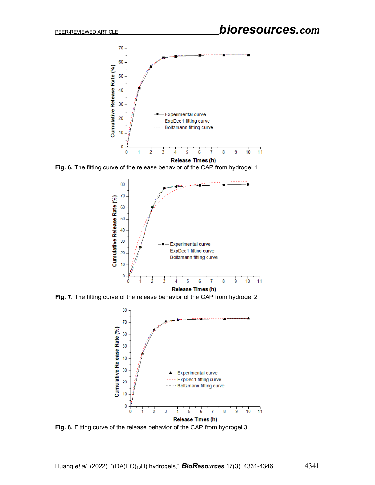

**Fig. 6.** The fitting curve of the release behavior of the CAP from hydrogel 1



**Fig. 7.** The fitting curve of the release behavior of the CAP from hydrogel 2



**Fig. 8.** Fitting curve of the release behavior of the CAP from hydrogel 3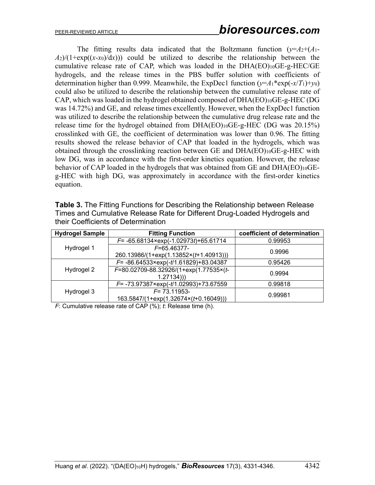The fitting results data indicated that the Boltzmann function  $(\gamma = A_2 + (A_1 - A_2))$  $A_2$ )/(1+exp((*x*-*x*<sub>0</sub>)/(*x*))) could be utilized to describe the relationship between the cumulative release rate of CAP, which was loaded in the  $DHA(EO)_{10}GE-g-HEC/GE$ hydrogels, and the release times in the PBS buffer solution with coefficients of determination higher than 0.999. Meanwhile, the ExpDec1 function  $(\gamma = A_1 * exp(-x/T_1) + \gamma_0)$ could also be utilized to describe the relationship between the cumulative release rate of CAP, which was loaded in the hydrogel obtained composed of DHA(EO)10GE-g-HEC (DG was 14.72%) and GE, and release times excellently. However, when the ExpDec1 function was utilized to describe the relationship between the cumulative drug release rate and the release time for the hydrogel obtained from DHA(EO)10GE-g-HEC (DG was 20.15%) crosslinked with GE, the coefficient of determination was lower than 0.96. The fitting results showed the release behavior of CAP that loaded in the hydrogels, which was obtained through the crosslinking reaction between GE and DHA(EO)10GE-g-HEC with low DG, was in accordance with the first-order kinetics equation. However, the release behavior of CAP loaded in the hydrogels that was obtained from GE and DHA(EO)10GEg-HEC with high DG, was approximately in accordance with the first-order kinetics equation.

| <b>Table 3.</b> The Fitting Functions for Describing the Relationship between Release |
|---------------------------------------------------------------------------------------|
| Times and Cumulative Release Rate for Different Drug-Loaded Hydrogels and             |
| their Coefficients of Determination                                                   |

| <b>Hydrogel Sample</b> | <b>Fitting Function</b>                            | coefficient of determination |  |
|------------------------|----------------------------------------------------|------------------------------|--|
| Hydrogel 1             | $F = -65.68134 \times \exp(-1.02973t) + 65.61714$  | 0.99953                      |  |
|                        | $F=65.46377-$                                      | 0.9996                       |  |
|                        | 260.13986/(1+exp(1.13852×(t+1.40913)))             |                              |  |
| Hydrogel 2             | $F = -86.64533 \times \exp(-t/1.61829) + 83.04387$ | 0.95426                      |  |
|                        | F=80.02709-88.32926/(1+exp(1.77535×(t-             | 0.9994                       |  |
|                        | 1.27134))                                          |                              |  |
| Hydrogel 3             | $F = -73.97387 \times \exp(-t/1.02993) + 73.67559$ | 0.99818                      |  |
|                        | $F = 73.11953$                                     | 0.99981                      |  |
|                        | 163.5847/(1+exp(1.32674×(t+0.16049)))              |                              |  |

*F*: Cumulative release rate of CAP (%); *t*: Release time (h).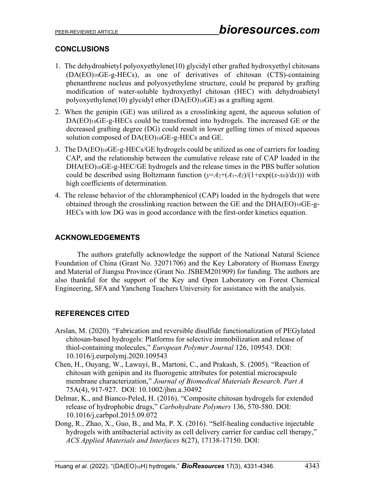# **CONCLUSIONS**

- 1. The dehydroabietyl polyoxyethylene(10) glycidyl ether grafted hydroxyethyl chitosans (DA(EO)10GE-g-HECs), as one of derivatives of chitosan (CTS)-containing phenanthrene nucleus and polyoxyethylene structure, could be prepared by grafting modification of water-soluble hydroxyethyl chitosan (HEC) with dehydroabietyl polyoxyethylene(10) glycidyl ether (DA(EO)10GE) as a grafting agent.
- 2. When the genipin (GE) was utilized as a crosslinking agent, the aqueous solution of DA(EO)10GE-g-HECs could be transformed into hydrogels. The increased GE or the decreased grafting degree (DG) could result in lower gelling times of mixed aqueous solution composed of DA(EO)10GE-g-HECs and GE.
- 3. The DA(EO)10GE-g-HECs/GE hydrogels could be utilized as one of carriers for loading CAP, and the relationship between the cumulative release rate of CAP loaded in the DHA(EO)10GE-g-HEC/GE hydrogels and the release times in the PBS buffer solution could be described using Boltzmann function  $(y=A_2+(A_1-A_2)/(1+\exp((x-x_0)/dx))$  with high coefficients of determination.
- 4. The release behavior of the [chloramphenicol](https://fanyi.so.com/?src=onebox#%20chloramphenicol) (CAP) loaded in the hydrogels that were obtained through the crosslinking reaction between the GE and the DHA(EO)10GE-g-HECs with low DG was in good accordance with the first-order kinetics equation.

# **ACKNOWLEDGEMENTS**

The authors gratefully acknowledge the support of the National Natural Science Foundation of China (Grant No. 32071706) and the Key Laboratory of Biomass Energy and Material of Jiangsu Province (Grant No. JSBEM201909) for funding. The authors are also thankful for the support of the Key and Open Laboratory on Forest Chemical Engineering, SFA and Yancheng Teachers University for assistance with the analysis.

# **REFERENCES CITED**

- Arslan, M. (2020). "Fabrication and reversible disulfide functionalization of PEGylated chitosan-based hydrogels: Platforms for selective immobilization and release of thiol-containing molecules," *European Polymer Journal* 126, 109543. DOI: 10.1016/j.eurpolymj.2020.109543
- Chen, H., Ouyang, W., Lawuyi, B., Martoni, C., and Prakash, S. (2005). "Reaction of chitosan with genipin and its fluorogenic attributes for potential microcapsule membrane characterization," *Journal of Biomedical Materials Research. Part A* 75A(4), 917-927. DOI: 10.1002/jbm.a.30492
- Delmar, K., and Bianco-Peled, H. (2016). "Composite chitosan hydrogels for extended release of hydrophobic drugs," *Carbohydrate Polymers* 136, 570-580. DOI: 10.1016/j.carbpol.2015.09.072
- Dong, R., Zhao, X., Guo, B., and Ma, P. X. (2016). "Self-healing conductive injectable hydrogels with antibacterial activity as cell delivery carrier for cardiac cell therapy," *ACS Applied Materials and Interfaces* 8(27), 17138-17150. DOI: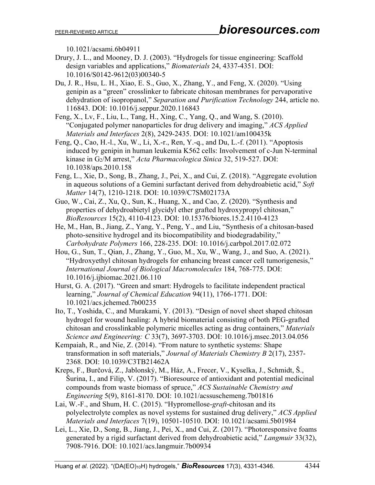10.1021/acsami.6b04911

- Drury, J. L., and Mooney, D. J. (2003). "Hydrogels for tissue engineering: Scaffold design variables and applications," *Biomaterials* 24, 4337-4351. DOI: 10.1016/S0142-9612(03)00340-5
- Du, J. R., Hsu, L. H., Xiao, E. S., Guo, X., Zhang, Y., and Feng, X. (2020). "Using genipin as a "green" crosslinker to fabricate chitosan membranes for pervaporative dehydration of isopropanol," *Separation and Purification Technology* 244, article no. 116843. DOI: 10.1016/j.seppur.2020.116843
- Feng, X., Lv, F., Liu, L., Tang, H., Xing, C., Yang, Q., and Wang, S. (2010). "Conjugated polymer nanoparticles for drug delivery and imaging," *ACS Applied Materials and Interfaces* 2(8), 2429-2435. DOI: 10.1021/am100435k
- Feng, Q., Cao, H.-l., Xu, W., Li, X.-r., Ren, Y.-q., and Du, L.-f. (2011). "Apoptosis induced by genipin in human leukemia K562 cells: Involvement of c-Jun N-terminal kinase in G2/M arrest," *Acta Pharmacologica Sinica* 32, 519-527. DOI: 10.1038/aps.2010.158
- Feng, L., Xie, D., Song, B., Zhang, J., Pei, X., and Cui, Z. (2018). "Aggregate evolution in aqueous solutions of a Gemini surfactant derived from dehydroabietic acid," *Soft Matter* 14(7), 1210-1218. DOI: 10.1039/C7SM02173A
- Guo, W., Cai, Z., Xu, Q., Sun, K., Huang, X., and Cao, Z. (2020). "Synthesis and properties of dehydroabietyl glycidyl ether grafted hydroxypropyl chitosan," *BioResources* 15(2), 4110-4123. DOI: 10.15376/biores.15.2.4110-4123
- He, [M.,](https://www.sciencedirect.com/science/article/pii/S0144861717302023#!) Han, [B.,](https://www.sciencedirect.com/science/article/pii/S0144861717302023#!) Jiang, [Z.,](https://www.sciencedirect.com/science/article/pii/S0144861717302023#!) Yang, [Y.,](https://www.sciencedirect.com/science/article/pii/S0144861717302023#!) Peng, [Y.,](https://www.sciencedirect.com/science/article/pii/S0144861717302023#!) and Liu, ["S](https://www.sciencedirect.com/science/article/pii/S0144861717302023#!)ynthesis of a chitosan-based photo-sensitive hydrogel and its biocompatibility and biodegradability," *Carbohydrate Polymers* 166, 228-235. DOI: 10.1016/j.carbpol.2017.02.072
- Hou, G., Sun, T., Qian, J., Zhang, Y., Guo, M., Xu, W., Wang, J., and Suo, A. (2021). "Hydroxyethyl chitosan hydrogels for enhancing breast cancer cell tumorigenesis," *International Journal of Biological Macromolecules* 184, 768-775. DOI: 10.1016/j.ijbiomac.2021.06.110
- Hurst, G. A. (2017). "Green and smart: Hydrogels to facilitate independent practical learning," *Journal of Chemical Education* 94(11), 1766-1771. DOI: 10.1021/acs.jchemed.7b00235
- Ito, T., Yoshida, C., and Murakami, Y. (2013). "Design of novel sheet shaped chitosan hydrogel for wound healing: A hybrid biomaterial consisting of both PEG-grafted chitosan and crosslinkable polymeric micelles acting as drug containers," *Materials Science and Engineering: C* 33(7), 3697-3703. DOI: 10.1016/j.msec.2013.04.056
- Kempaiah, R., and Nie, Z. (2014). "From nature to synthetic systems: Shape transformation in soft materials," *Journal of Materials Chemistry B* 2(17), 2357- 2368. DOI: 10.1039/C3TB21462A
- Kreps, F., Burčová, Z., Jablonský, M., Ház, A., Frecer, V., Kyselka, J., Schmidt, Š., Šurina, I., and Filip, V. (2017). "Bioresource of antioxidant and potential medicinal compounds from waste biomass of spruce," *ACS Sustainable Chemistry and Engineering* 5(9), 8161-8170. DOI: 10.1021/acssuschemeng.7b01816
- Lai, W.-F., and Shum, H. C. (2015). "Hypromellose-*graft*-chitosan and its polyelectrolyte complex as novel systems for sustained drug delivery," *ACS Applied Materials and Interfaces* 7(19), 10501-10510. DOI: 10.1021/acsami.5b01984
- Lei, L., Xie, D., Song, B., Jiang, J., Pei, X., and Cui, Z. (2017). "Photoresponsive foams generated by a rigid surfactant derived from dehydroabietic acid," *Langmuir* 33(32), 7908-7916. DOI: 10.1021/acs.langmuir.7b00934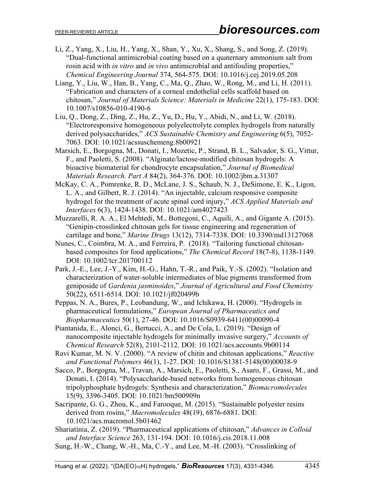- Li, Z., Yang, X., Liu, H., Yang, X., Shan, Y., Xu, X., Shang, S., and Song, Z. (2019). "Dual-functional antimicrobial coating based on a quaternary ammonium salt from rosin acid with *in vitro* and *in vivo* antimicrobial and antifouling properties," *Chemical Engineering Journal* 374, 564-575. DOI: 10.1016/j.cej.2019.05.208
- Liang, Y., Liu, W., Han, B., Yang, C., Ma, Q., Zhao, W., Rong, M., and Li, H. (2011). "Fabrication and characters of a corneal endothelial cells scaffold based on chitosan," *Journal of Materials Science: Materials in Medicine* 22(1), 175-183. DOI: 10.1007/s10856-010-4190-6
- Liu, Q., Dong, Z., Ding, Z., Hu, Z., Yu, D., Hu, Y., Abidi, N., and Li, W. (2018). "Electroresponsive homogeneous polyelectrolyte complex hydrogels from naturally derived polysaccharides," *ACS Sustainable Chemistry and Engineering* 6(5), 7052- 7063. DOI: 10.1021/acssuschemeng.8b00921
- Marsich, [E.,](https://onlinelibrary.wiley.com/action/doSearch?ContribAuthorRaw=Marsich,+Eleonora) Borgogna, [M.,](https://onlinelibrary.wiley.com/action/doSearch?ContribAuthorRaw=Borgogna,+Massimiliano) Donati, [I.,](https://onlinelibrary.wiley.com/action/doSearch?ContribAuthorRaw=Donati,+Ivan) Mozetic, P., Strand, B. L., Salvador, S. G., Vittur, F., and Paoletti, S. (2008). "Alginate/lactose-modified chitosan hydrogels: A bioactive biomaterial for chondrocyte encapsulation," *Journal of Biomedical Materials Research. Part A* 84(2), 364-376. DOI: 10.1002/jbm.a.31307
- McKay, C. A., Pomrenke, R. D., McLane, J. S., Schaub, N. J., DeSimone, E. K., Ligon, L. A., and Gilbert, R. J. (2014). "An injectable, calcium responsive composite hydrogel for the treatment of acute spinal cord injury," *ACS Applied Materials and Interfaces* 6(3), 1424-1438. DOI: 10.1021/am4027423
- Muzzarelli, R. A. A., El Mehtedi, M., Bottegoni, C., Aquili, A., and Gigante A. (2015). "Genipin-crosslinked chitosan gels for tissue engineering and regeneration of cartilage and bone," *Marine Drugs* 13(12), 7314-7338. DOI: 10.3390/md13127068
- Nunes, C., Coimbra, M. A., and Ferreira, P. (2018). "Tailoring functional chitosanbased composites for food applications," *The Chemical Record* 18(7-8), 1138-1149. DOI: 10.1002/tcr.201700112
- Park, J.-E., Lee, J.-Y., Kim, H.-G., Hahn, T.-R., and Paik, Y.-S. (2002). "Isolation and characterization of water-soluble intermediates of blue pigments transformed from geniposide of *Gardenia jasminoides*," *Journal of Agricultural and Food Chemistry* 50(22), 6511-6514. DOI: 10.1021/jf020499b
- Peppas, N. A., Bures, P., Leobandung, W., and Ichikawa, H. (2000). "Hydrogels in pharmaceutical formulations," *European Journal of Pharmaceutics and Biopharmaceutics* 50(1), 27-46. DOI: 10.1016/S0939-6411(00)00090-4
- Piantanida, E., Alonci, G., Bertucci, A., and De Cola, L. (2019). "Design of nanocomposite injectable hydrogels for minimally invasive surgery," *Accounts of Chemical Research* 52(8), 2101-2112. DOI: 10.1021/acs.accounts.9b00114
- Ravi Kumar, M. N. V. (2000). "A review of chitin and chitosan applications," *Reactive and Functional Polymers* 46(1), 1-27. DOI: 10.1016/S1381-5148(00)00038-9
- Sacco, P., Borgogna, M., Travan, A., Marsich, E., Paoletti, S., Asaro, F., Grassi, M., and Donati, I. (2014). "Polysaccharide-based networks from homogeneous chitosan tripolyphosphate hydrogels: Synthesis and characterization," *Biomacromolecules* 15(9), 3396-3405. DOI: 10.1021/bm500909n
- Sacripante, G. G., Zhou, K., and Farooque, M. (2015). "Sustainable polyester resins derived from rosins," *Macromolecules* 48(19), 6876-6881. DOI: 10.1021/acs.macromol.5b01462
- Shariatinia, Z. (2019). "Pharmaceutical applications of chitosan," *Advances in Colloid and Interface Science* 263, 131-194. DOI: 10.1016/j.cis.2018.11.008
- Sung, H.-W., Chang, W.-H., Ma, C.-Y., and Lee, M.-H. (2003). "Crosslinking of